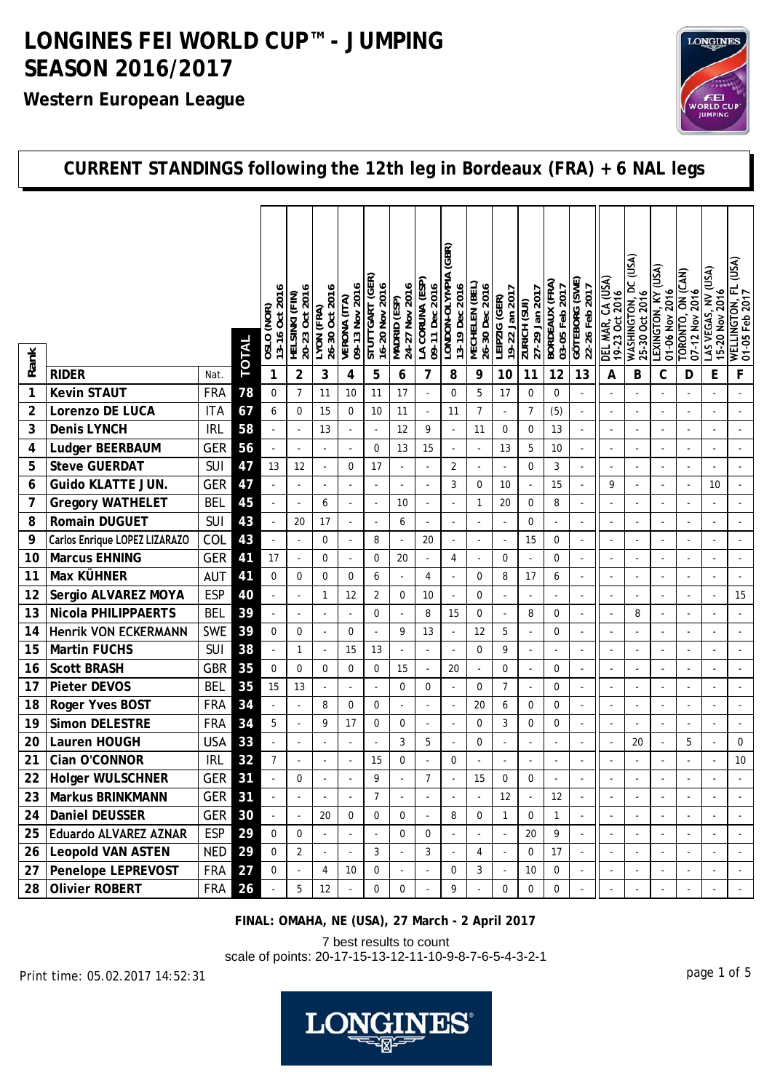#### **Western European League**



### **CURRENT STANDINGS following the 12th leg in Bordeaux (FRA) + 6 NAL legs**

|                |                               |               |       | 13-16 Oct 2016<br>(NOR) | 20-23 Oct 2016           | 26-30 Oct 2016           | 09-13 Nov 2016 | STUTTGART (GER)<br>16-20 Nov 2016 | 24-27 Nov 2016           | LA CORUNA (ESP)<br>09-11 Dec 2016 | (GBR)<br>LONDON-OLYMPIA<br>13-19 Dec 2016 | MECHELEN (BEL)<br>26-30 Dec 2016 | 19-22 Jan 2017           | 27-29 Jan 2017           | BORDEAUX (FRA)<br>03-05 Feb 2017 | GÖTEBORG (SWE)<br>22-26 Feb 2017 | DEL MAR, CA (USA)        | WASHINGTON, DC (USA) | <b>LEXINGTON, KY (USA)</b> | TORONTO, ON (CAN)        | LAS VEGAS, NV (USA)      | (ASN)<br><b>WELLINGTON, FL<br/>01-05 Feb 2017</b> |
|----------------|-------------------------------|---------------|-------|-------------------------|--------------------------|--------------------------|----------------|-----------------------------------|--------------------------|-----------------------------------|-------------------------------------------|----------------------------------|--------------------------|--------------------------|----------------------------------|----------------------------------|--------------------------|----------------------|----------------------------|--------------------------|--------------------------|---------------------------------------------------|
|                |                               |               |       | 03LO                    | HELSINKI (FIN)           | LYON (FRA)               | VERONA (ITA)   |                                   | (AS3) QINOWN             |                                   |                                           |                                  | LEIPZIG (GER)            | <b>ZURICH (SUI)</b>      |                                  |                                  | 19-23 Oct 2016           | 25-30 Oct 2016       | 01-06 Nov 2016             | 07-12 Nov 2016           | 15-20 Nov 2016           |                                                   |
| Rank           | <b>RIDER</b>                  | Nat.          | TOTAL | 1                       | $\overline{2}$           | 3                        | $\overline{4}$ | 5                                 | 6                        | 7                                 | 8                                         | 9                                | 10                       | 11                       | 12                               | 13                               | A                        | В                    | C                          | D                        | E                        | F                                                 |
| 1              | <b>Kevin STAUT</b>            | <b>FRA</b>    | 78    | 0                       | $\overline{7}$           | 11                       | 10             | 11                                | 17                       | ÷,                                | $\mathbf 0$                               | 5                                | 17                       | $\mathbf 0$              | $\mathbf 0$                      |                                  |                          |                      |                            |                          |                          |                                                   |
| $\overline{2}$ | Lorenzo DE LUCA               | <b>ITA</b>    | 67    | 6                       | $\Omega$                 | 15                       | 0              | 10                                | 11                       | $\overline{\phantom{a}}$          | 11                                        | $\overline{7}$                   | $\overline{\phantom{a}}$ | $\overline{7}$           | (5)                              | ÷,                               | ÷,                       | $\overline{a}$       |                            | ÷,                       |                          | ÷,                                                |
| 3              | Denis LYNCH                   | <b>IRL</b>    | 58    |                         |                          | 13                       |                | $\overline{a}$                    | 12                       | 9                                 | $\Box$                                    | 11                               | $\mathbf 0$              | $\pmb{0}$                | 13                               |                                  |                          |                      |                            | ÷,                       |                          |                                                   |
| 4              | Ludger BEERBAUM               | GER           | 56    |                         |                          | $\blacksquare$           |                | $\mathbf 0$                       | 13                       | 15                                | ÷,                                        |                                  | 13                       | 5                        | 10                               | $\sim$                           | $\overline{\phantom{a}}$ |                      |                            | $\overline{\phantom{a}}$ |                          |                                                   |
| 5              | <b>Steve GUERDAT</b>          | <b>SUI</b>    | 47    | 13                      | 12                       | ÷,                       | $\Omega$       | 17                                | $\overline{\phantom{a}}$ | $\overline{\phantom{a}}$          | $\overline{2}$                            |                                  | ÷,                       | 0                        | 3                                |                                  | ÷,                       |                      |                            | ÷,                       |                          | ÷,                                                |
| 6              | <b>Guido KLATTE JUN.</b>      | <b>GER</b>    | 47    |                         |                          |                          |                |                                   | L.                       |                                   | 3                                         | 0                                | 10                       | $\blacksquare$           | 15                               |                                  | 9                        | ÷,                   |                            | ÷,                       | 10                       |                                                   |
| 7              | <b>Gregory WATHELET</b>       | <b>BEL</b>    | 45    |                         | $\sim$                   | 6                        | ä,             | ÷,                                | 10                       |                                   | ÷,                                        | 1                                | 20                       | 0                        | 8                                | $\blacksquare$                   | $\overline{a}$           |                      |                            | $\sim$                   |                          |                                                   |
| 8              | <b>Romain DUGUET</b>          | <b>SUI</b>    | 43    |                         | 20                       | 17                       |                |                                   | 6                        |                                   | ÷,                                        |                                  |                          | 0                        | ÷,                               |                                  | ÷,                       |                      |                            | ÷,                       |                          |                                                   |
| 9              | Carlos Enrique LOPEZ LIZARAZO | COL           | 43    |                         | ÷,                       | 0                        |                | 8                                 | $\overline{\phantom{a}}$ | 20                                | $\overline{\phantom{a}}$                  |                                  | $\overline{\phantom{a}}$ | 15                       | $\mathbf 0$                      | ÷,                               | $\overline{\phantom{a}}$ |                      |                            | $\blacksquare$           |                          |                                                   |
| 10             | <b>Marcus EHNING</b>          | <b>GER</b>    | 41    | 17                      |                          | 0                        |                | 0                                 | 20                       |                                   | 4                                         |                                  | $\mathbf 0$              |                          | $\mathbf 0$                      |                                  | $\overline{a}$           |                      |                            | ÷,                       |                          |                                                   |
| 11             | Max KÜHNER                    | <b>AUT</b>    | 41    | 0                       | $\mathbf 0$              | 0                        | 0              | 6                                 | $\overline{\phantom{a}}$ | 4                                 | $\blacksquare$                            | 0                                | 8                        | 17                       | 6                                |                                  | $\overline{\phantom{a}}$ |                      |                            | ÷,                       |                          |                                                   |
| 12             | Sergio ALVAREZ MOYA           | <b>ESP</b>    | 40    |                         | $\overline{\phantom{a}}$ | $\mathbf{1}$             | 12             | $\overline{2}$                    | $\mathbf 0$              | 10                                | $\blacksquare$                            | 0                                | ÷,                       | $\overline{\phantom{a}}$ | $\blacksquare$                   | $\overline{\phantom{a}}$         | ÷,                       |                      |                            | $\overline{\phantom{a}}$ |                          | 15                                                |
| 13             | <b>Nicola PHILIPPAERTS</b>    | <b>BEL</b>    | 39    |                         |                          | ÷,                       |                | $\mathbf 0$                       | $\overline{\phantom{a}}$ | 8                                 | 15                                        | 0                                | ÷,                       | 8                        | $\mathbf 0$                      | $\blacksquare$                   | $\blacksquare$           | 8                    |                            | ÷,                       |                          | $\overline{\phantom{a}}$                          |
| 14             | <b>Henrik VON ECKERMANN</b>   | <b>SWE</b>    | 39    | 0                       | $\mathbf 0$              | ÷,                       | 0              | L.                                | 9                        | 13                                | $\Box$                                    | 12                               | 5                        | ä,                       | $\mathbf 0$                      |                                  |                          |                      |                            |                          |                          |                                                   |
| 15             | <b>Martin FUCHS</b>           | <b>SUI</b>    | 38    |                         | $\mathbf{1}$             | $\blacksquare$           | 15             | 13                                |                          |                                   | ÷,                                        | $\mathbf 0$                      | 9                        | $\omega$                 |                                  |                                  | $\blacksquare$           |                      |                            | ÷                        |                          |                                                   |
| 16             | <b>Scott BRASH</b>            | GBR           | 35    | $\mathbf 0$             | $\Omega$                 | $\mathbf 0$              | 0              | 0                                 | 15                       | $\overline{\phantom{a}}$          | 20                                        | $\overline{\phantom{a}}$         | $\Omega$                 | $\blacksquare$           | $\mathbf 0$                      |                                  | $\overline{\phantom{a}}$ |                      |                            | $\overline{\phantom{a}}$ |                          |                                                   |
| 17             | <b>Pieter DEVOS</b>           | <b>BEL</b>    | 35    | 15                      | 13                       | $\overline{a}$           |                |                                   | $\mathbf 0$              | 0                                 | L,                                        | 0                                | $\overline{7}$           | $\overline{\phantom{a}}$ | $\mathbf 0$                      |                                  | ÷,                       |                      |                            | ÷,                       |                          |                                                   |
| 18             | Roger Yves BOST               | <b>FRA</b>    | 34    |                         |                          | 8                        | 0              | 0                                 | $\overline{\phantom{a}}$ |                                   | $\overline{\phantom{a}}$                  | 20                               | 6                        | 0                        | $\mathbf 0$                      | $\blacksquare$                   | $\overline{a}$           |                      |                            | $\sim$                   |                          |                                                   |
| 19             | <b>Simon DELESTRE</b>         | <b>FRA</b>    | 34    | 5                       | ÷,                       | 9                        | 17             | 0                                 | $\mathbf 0$              |                                   | ÷,                                        | 0                                | 3                        | 0                        | $\mathbf 0$                      | $\overline{\phantom{a}}$         | ÷,                       |                      |                            | ÷,                       |                          | $\overline{\phantom{a}}$                          |
| 20             | Lauren HOUGH                  | <b>USA</b>    | 33    |                         | ÷,                       | $\overline{\phantom{a}}$ |                |                                   | 3                        | 5                                 | ÷,                                        | 0                                |                          | $\blacksquare$           |                                  |                                  | $\blacksquare$           | 20                   |                            | 5                        |                          | 0                                                 |
| 21             | Cian O'CONNOR                 | <b>IRL</b>    | 32    | 7                       |                          |                          |                | 15                                | $\mathbf 0$              |                                   | 0                                         |                                  |                          |                          |                                  |                                  |                          |                      |                            |                          |                          | 10                                                |
| 22             | Holger WULSCHNER              | GER           | 31    |                         | $\Omega$                 |                          |                | 9                                 |                          | $\overline{7}$                    |                                           | 15                               | $\Omega$                 | $\Omega$                 |                                  |                                  |                          |                      |                            |                          |                          |                                                   |
| 23             | Markus BRINKMANN              | <b>GER 31</b> |       | $\blacksquare$          |                          |                          |                | $\overline{7}$                    |                          |                                   |                                           |                                  | 12                       | L,                       | 12                               |                                  |                          |                      |                            |                          |                          |                                                   |
| 24             | <b>Daniel DEUSSER</b>         | GER           | 30    | ÷                       | $\overline{\phantom{a}}$ | 20                       | 0              | 0                                 | 0                        |                                   | 8                                         | 0                                | $\mathbf{1}$             | 0                        | $\mathbf{1}$                     | $\blacksquare$                   | $\overline{\phantom{a}}$ |                      |                            |                          |                          | $\overline{\phantom{a}}$                          |
| 25             | Eduardo ALVAREZ AZNAR         | <b>ESP</b>    | 29    | $\mathbf 0$             | $\mathbf 0$              | $\omega$                 |                | $\overline{\phantom{a}}$          | $\mathbf 0$              | 0                                 | $\blacksquare$                            |                                  | $\overline{a}$           | 20                       | 9                                |                                  |                          |                      |                            |                          |                          |                                                   |
|                | 26   Leopold VAN ASTEN        | <b>NED</b>    | 29    | $\mathbf 0$             | $\overline{2}$           | $\blacksquare$           |                | 3                                 |                          | 3                                 | $\blacksquare$                            | $\overline{4}$                   |                          | $\mathbf 0$              | 17                               |                                  |                          |                      |                            |                          |                          |                                                   |
| 27             | Penelope LEPREVOST            | FRA           | 27    | 0                       | $\Box$                   | 4                        | 10             | 0                                 | $\blacksquare$           | $\overline{\phantom{a}}$          | 0                                         | 3                                | $\overline{\phantom{a}}$ | 10                       | 0                                | $\blacksquare$                   | $\overline{\phantom{a}}$ | ÷,                   | ÷,                         | $\blacksquare$           |                          | $\blacksquare$                                    |
|                | 28 Olivier ROBERT             | FRA           | 26    |                         | 5                        | 12                       |                | 0                                 | 0                        |                                   | 9                                         |                                  | $\mathbf 0$              | $\mathbf 0$              | $\mathbf 0$                      |                                  |                          |                      |                            | $\omega$                 | $\overline{\phantom{a}}$ | $\omega$ .                                        |

**FINAL: OMAHA, NE (USA), 27 March - 2 April 2017**

7 best results to count

scale of points: 20-17-15-13-12-11-10-9-8-7-6-5-4-3-2-1

page 1 of 5 Print time: 05.02.2017 14:52:31

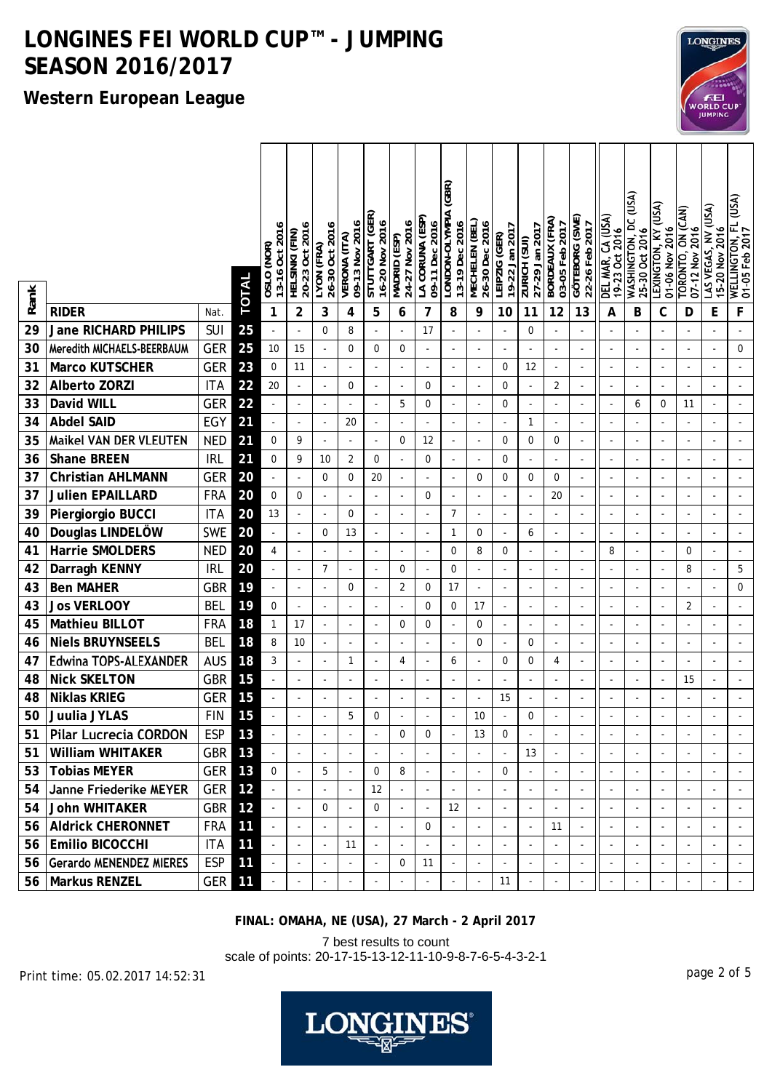### **Western European League**

|      |                              |            |              | 13-16 Oct 2016<br>OSLO (NOR) | 20-23 Oct 2016<br>HELSINKI (FIN) | 26-30 Oct 2016<br>LYON (FRA) | 09-13 Nov 2016<br>VERONA (ITA) | STUTTGART (GER)<br>16-20 Nov 2016 | 24-27 Nov 2016<br>(S3) Madki | LA CORUNA (ESP)<br>09-11 Dec 2016 | (GBR)<br>LONDON-OLYMPIA<br>13-19 Dec 2016 | MECHELEN (BEL)<br>26-30 Dec 2016 | 19-22 Jan 2017<br>LEIPZIG (GER) | 27-29 Jan 2017<br>ZURICH (SUI) | <b>BORDEAUX (FRA)</b><br>03-05 Feb 2017 | GOTEBORG (SWE)<br>22-26 Feb 2017 | DEL MAR, CA (USA)<br>19-23 Oct 2016 | <b>WASHINGTON, DC (USA)</b><br>25-30 Oct 2016 | LEXINGTON, KY (USA)<br>01-06 Nov 2016 | TORONTO, ON (CAN)<br>07-12 Nov 2016 | AS VEGAS, NV (USA)<br>15-20 Nov 2016 | WELLINGTON, FL (USA)<br>01-05 Feb 2017 |
|------|------------------------------|------------|--------------|------------------------------|----------------------------------|------------------------------|--------------------------------|-----------------------------------|------------------------------|-----------------------------------|-------------------------------------------|----------------------------------|---------------------------------|--------------------------------|-----------------------------------------|----------------------------------|-------------------------------------|-----------------------------------------------|---------------------------------------|-------------------------------------|--------------------------------------|----------------------------------------|
| Rank |                              |            | <b>TOTAL</b> |                              |                                  |                              |                                |                                   |                              |                                   |                                           |                                  |                                 |                                |                                         |                                  |                                     |                                               |                                       |                                     |                                      |                                        |
|      | <b>RIDER</b>                 | Nat.       |              | 1                            | $\overline{2}$                   | 3                            | 4                              | 5                                 | 6                            | 7                                 | 8                                         | 9                                | 10                              | 11                             | 12                                      | 13                               | A                                   | В                                             | С                                     | D                                   | E                                    | F                                      |
| 29   | Jane RICHARD PHILIPS         | SUI        | 25           |                              |                                  | $\mathbf 0$                  | 8                              |                                   |                              | 17                                |                                           |                                  |                                 | 0                              |                                         |                                  |                                     |                                               |                                       |                                     |                                      |                                        |
| 30   | Meredith MICHAELS-BEERBAUM   | <b>GER</b> | 25           | 10                           | 15                               | $\blacksquare$               | $\mathbf 0$                    | 0                                 | $\mathbf 0$                  | $\overline{\phantom{a}}$          | $\blacksquare$                            | $\blacksquare$                   |                                 | $\overline{\phantom{a}}$       |                                         | L,                               | ÷,                                  |                                               | $\overline{\phantom{a}}$              | ÷,                                  | ä,                                   | $\mathbf 0$                            |
| 31   | <b>Marco KUTSCHER</b>        | <b>GER</b> | 23           | 0                            | 11                               | $\bar{\phantom{a}}$          |                                |                                   | $\overline{\phantom{a}}$     |                                   |                                           | $\overline{\phantom{a}}$         | $\mathbf 0$                     | 12                             |                                         |                                  | $\sim$                              | $\sim$                                        |                                       |                                     |                                      |                                        |
| 32   | <b>Alberto ZORZI</b>         | <b>ITA</b> | 22           | 20                           | $\overline{a}$                   | $\overline{\phantom{a}}$     | 0                              | ÷,                                | $\blacksquare$               | 0                                 | $\overline{\phantom{a}}$                  |                                  | 0                               | $\overline{\phantom{a}}$       | 2                                       |                                  | ÷,                                  | $\sim$                                        |                                       | $\blacksquare$                      |                                      |                                        |
| 33   | David WILL                   | <b>GER</b> | 22           |                              | $\overline{a}$                   | $\bar{\phantom{a}}$          |                                | ÷,                                | 5                            | 0                                 | ÷,                                        |                                  | $\mathbf 0$                     | $\Box$                         |                                         |                                  | $\overline{a}$                      | 6                                             | 0                                     | 11                                  | ä,                                   |                                        |
| 34   | <b>Abdel SAID</b>            | EGY        | 21           |                              | $\overline{\phantom{a}}$         | $\blacksquare$               | 20                             | $\overline{\phantom{a}}$          | $\overline{a}$               |                                   | $\overline{\phantom{a}}$                  |                                  | $\overline{\phantom{a}}$        | 1                              |                                         |                                  | $\overline{\phantom{a}}$            | $\blacksquare$                                |                                       | ÷,                                  |                                      |                                        |
| 35   | Maikel VAN DER VLEUTEN       | <b>NED</b> | 21           | 0                            | 9                                | $\bar{\phantom{a}}$          |                                | $\overline{\phantom{a}}$          | 0                            | 12                                | ÷,                                        | $\overline{a}$                   | $\mathbf 0$                     | 0                              | 0                                       | L,                               | ÷,                                  |                                               |                                       | ÷,                                  |                                      |                                        |
| 36   | <b>Shane BREEN</b>           | <b>IRL</b> | 21           | 0                            | 9                                | 10                           | $\overline{2}$                 | 0                                 | ÷                            | 0                                 | $\overline{\phantom{a}}$                  |                                  | 0                               | $\overline{\phantom{a}}$       |                                         |                                  | $\overline{a}$                      |                                               |                                       |                                     |                                      |                                        |
| 37   | <b>Christian AHLMANN</b>     | <b>GER</b> | 20           |                              | $\blacksquare$                   | 0                            | $\mathbf 0$                    | 20                                | $\blacksquare$               | $\overline{\phantom{a}}$          | ÷,                                        | 0                                | $\mathbf 0$                     | 0                              | 0                                       | $\overline{\phantom{a}}$         | ÷,                                  | $\blacksquare$                                | $\overline{\phantom{a}}$              | $\blacksquare$                      | $\overline{\phantom{a}}$             |                                        |
| 37   | <b>Julien EPAILLARD</b>      | <b>FRA</b> | 20           | 0                            | $\mathbf 0$                      | $\blacksquare$               |                                | $\overline{\phantom{a}}$          | $\overline{a}$               | 0                                 | ÷,                                        | $\blacksquare$                   |                                 | $\overline{\phantom{a}}$       | 20                                      | $\blacksquare$                   | $\overline{\phantom{a}}$            |                                               |                                       | $\sim$                              |                                      |                                        |
| 39   | Piergiorgio BUCCI            | <b>ITA</b> | 20           | 13                           |                                  | $\overline{\phantom{a}}$     | 0                              | ÷,                                |                              |                                   | $\overline{7}$                            |                                  |                                 | ÷,                             |                                         |                                  | J.                                  |                                               |                                       |                                     |                                      |                                        |
| 40   | Douglas LINDELÖW             | <b>SWE</b> | 20           |                              | ÷,                               | 0                            | 13                             | $\sim$                            | $\ddot{\phantom{1}}$         |                                   | $\mathbf{1}$                              | 0                                |                                 | 6                              |                                         |                                  | ٠                                   | $\sim$                                        |                                       |                                     |                                      |                                        |
| 41   | Harrie SMOLDERS              | <b>NED</b> | 20           | 4                            | ÷,                               | $\blacksquare$               | $\overline{\phantom{m}}$       | $\overline{\phantom{a}}$          | $\blacksquare$               |                                   | 0                                         | 8                                | $\mathbf 0$                     | $\overline{a}$                 |                                         |                                  | 8                                   | $\sim$                                        |                                       | 0                                   | $\overline{\phantom{a}}$             |                                        |
| 42   | Darragh KENNY                | <b>IRL</b> | 20           |                              | ÷,                               | $\overline{7}$               |                                | $\overline{a}$                    | 0                            | $\overline{\phantom{a}}$          | 0                                         |                                  |                                 | ÷,                             |                                         |                                  | $\overline{a}$                      |                                               |                                       | 8                                   |                                      | 5                                      |
| 43   | <b>Ben MAHER</b>             | <b>GBR</b> | 19           |                              | $\overline{a}$                   | $\sim$                       | 0                              | $\overline{\phantom{a}}$          | 2                            | 0                                 | 17                                        |                                  |                                 | $\overline{a}$                 |                                         |                                  | ÷,                                  |                                               |                                       |                                     |                                      | 0                                      |
| 43   | <b>Jos VERLOOY</b>           | <b>BEL</b> | 19           | 0                            | ÷,                               | $\bar{\phantom{a}}$          |                                |                                   | $\overline{\phantom{a}}$     | $\mathbf 0$                       | $\boldsymbol{0}$                          | 17                               | $\overline{\phantom{a}}$        | ÷,                             |                                         |                                  | $\overline{a}$                      |                                               |                                       | 2                                   |                                      |                                        |
| 45   | <b>Mathieu BILLOT</b>        | <b>FRA</b> | 18           | 1                            | 17                               | $\blacksquare$               |                                | $\overline{\phantom{a}}$          | 0                            | $\mathbf 0$                       | ÷,                                        | 0                                |                                 | $\overline{\phantom{a}}$       |                                         |                                  | $\overline{\phantom{a}}$            | $\blacksquare$                                |                                       | ÷,                                  |                                      |                                        |
| 46   | <b>Niels BRUYNSEELS</b>      | <b>BEL</b> | 18           | 8                            | 10                               | $\blacksquare$               |                                | ÷,                                | $\sim$                       |                                   | $\overline{\phantom{a}}$                  | 0                                | $\overline{a}$                  | 0                              |                                         | L,                               | ÷,                                  | $\blacksquare$                                |                                       | $\overline{\phantom{a}}$            | $\overline{\phantom{a}}$             |                                        |
| 47   | <b>Edwina TOPS-ALEXANDER</b> | <b>AUS</b> | 18           | 3                            | ÷,                               | $\blacksquare$               | 1                              | $\overline{a}$                    | 4                            |                                   | 6                                         |                                  | 0                               | 0                              | 4                                       |                                  | $\overline{a}$                      | $\blacksquare$                                |                                       | $\overline{\phantom{a}}$            |                                      |                                        |
| 48   | <b>Nick SKELTON</b>          | <b>GBR</b> | 15           |                              | $\overline{\phantom{a}}$         | $\blacksquare$               | $\overline{a}$                 | $\blacksquare$                    | $\blacksquare$               | $\overline{\phantom{a}}$          | ÷,                                        | $\sim$                           | $\overline{\phantom{a}}$        | $\blacksquare$                 | $\overline{\phantom{a}}$                | $\overline{\phantom{a}}$         | ÷,                                  | $\blacksquare$                                | $\overline{\phantom{a}}$              | 15                                  | $\overline{\phantom{a}}$             |                                        |
| 48   | <b>Niklas KRIEG</b>          | <b>GER</b> | 15           |                              | ÷,                               | $\blacksquare$               |                                | $\overline{\phantom{a}}$          | $\blacksquare$               |                                   | ÷,                                        | $\overline{\phantom{m}}$         | 15                              | $\overline{\phantom{a}}$       |                                         | $\blacksquare$                   | $\overline{\phantom{a}}$            |                                               |                                       | $\blacksquare$                      |                                      |                                        |
| 50   | Juulia JYLAS                 | <b>FIN</b> | 15           |                              |                                  |                              | 5                              | 0                                 |                              |                                   |                                           | 10                               |                                 | 0                              |                                         |                                  |                                     |                                               |                                       |                                     |                                      |                                        |
| 51   | <b>Pilar Lucrecia CORDON</b> | ESP        | 13           |                              | $\blacksquare$                   |                              |                                |                                   | 0                            | 0                                 | $\blacksquare$                            | 13                               | 0                               | $\sim$                         |                                         |                                  |                                     |                                               |                                       |                                     |                                      |                                        |
| 51   | <b>William WHITAKER</b>      | GBR        | 13           | $\blacksquare$               | $\blacksquare$                   |                              |                                | $\overline{\phantom{a}}$          | $\blacksquare$               |                                   | ÷,                                        |                                  | ÷,                              | 13                             |                                         | $\overline{\phantom{a}}$         | $\overline{\phantom{a}}$            |                                               |                                       | $\overline{\phantom{a}}$            | $\overline{\phantom{a}}$             | $\overline{\phantom{a}}$               |
|      | 53   Tobias MEYER            | GER        | 13           | 0                            | $\overline{\phantom{a}}$         | 5                            |                                | 0                                 | 8                            |                                   |                                           |                                  | $\mathbf 0$                     | $\omega$                       |                                         |                                  | $\sim$                              |                                               |                                       |                                     | ÷,                                   |                                        |
|      | 54 Janne Friederike MEYER    | GER        | 12           |                              |                                  |                              |                                | 12                                |                              |                                   |                                           |                                  |                                 | $\overline{\phantom{a}}$       |                                         |                                  |                                     |                                               |                                       |                                     |                                      |                                        |
|      | 54 John WHITAKER             | GBR        | 12           | $\omega$                     | $\overline{\phantom{a}}$         | 0                            | ł,                             | 0                                 | $\blacksquare$               | $\overline{\phantom{a}}$          | 12                                        |                                  | $\overline{\phantom{a}}$        | $\blacksquare$                 |                                         | $\sim$                           | $\sim$                              | $\blacksquare$                                |                                       | $\overline{\phantom{a}}$            | $\blacksquare$                       | $\sim$                                 |
|      | 56   Aldrick CHERONNET       | <b>FRA</b> | 11           | $\overline{\phantom{a}}$     |                                  | $\blacksquare$               |                                |                                   | $\blacksquare$               | 0                                 |                                           |                                  |                                 | $\blacksquare$                 | 11                                      |                                  | $\overline{\phantom{a}}$            | $\blacksquare$                                |                                       | $\blacksquare$                      |                                      | $\blacksquare$                         |
|      | 56 Emilio BICOCCHI           | <b>ITA</b> | 11           |                              | $\overline{\phantom{a}}$         | $\blacksquare$               | 11                             | $\blacksquare$                    |                              |                                   | $\overline{\phantom{a}}$                  |                                  |                                 | $\overline{\phantom{a}}$       |                                         |                                  | $\overline{\phantom{a}}$            |                                               |                                       | $\blacksquare$                      |                                      |                                        |
|      | 56 Gerardo MENENDEZ MIERES   | <b>ESP</b> | 11           | $\blacksquare$               | $\overline{\phantom{a}}$         | $\blacksquare$               |                                | $\overline{\phantom{a}}$          | 0                            | 11                                | ÷,                                        |                                  |                                 | $\blacksquare$                 |                                         | $\sim$                           | $\overline{\phantom{a}}$            | $\blacksquare$                                |                                       | $\overline{\phantom{a}}$            | ÷,                                   | $\blacksquare$                         |
|      | 56   Markus RENZEL           | GER        | 11           | $\omega_{\rm c}$             | $\blacksquare$                   | $\omega$                     |                                | $\overline{\phantom{a}}$          |                              |                                   | $\overline{\phantom{a}}$                  |                                  | 11                              | $\blacksquare$                 |                                         | $\bar{\phantom{a}}$              | $\overline{\phantom{a}}$            | $\omega$                                      |                                       | $\overline{\phantom{a}}$            | $\blacksquare$                       | $\omega$                               |

**FINAL: OMAHA, NE (USA), 27 March - 2 April 2017**

7 best results to count scale of points: 20-17-15-13-12-11-10-9-8-7-6-5-4-3-2-1

page 2 of 5 Print time: 05.02.2017 14:52:31



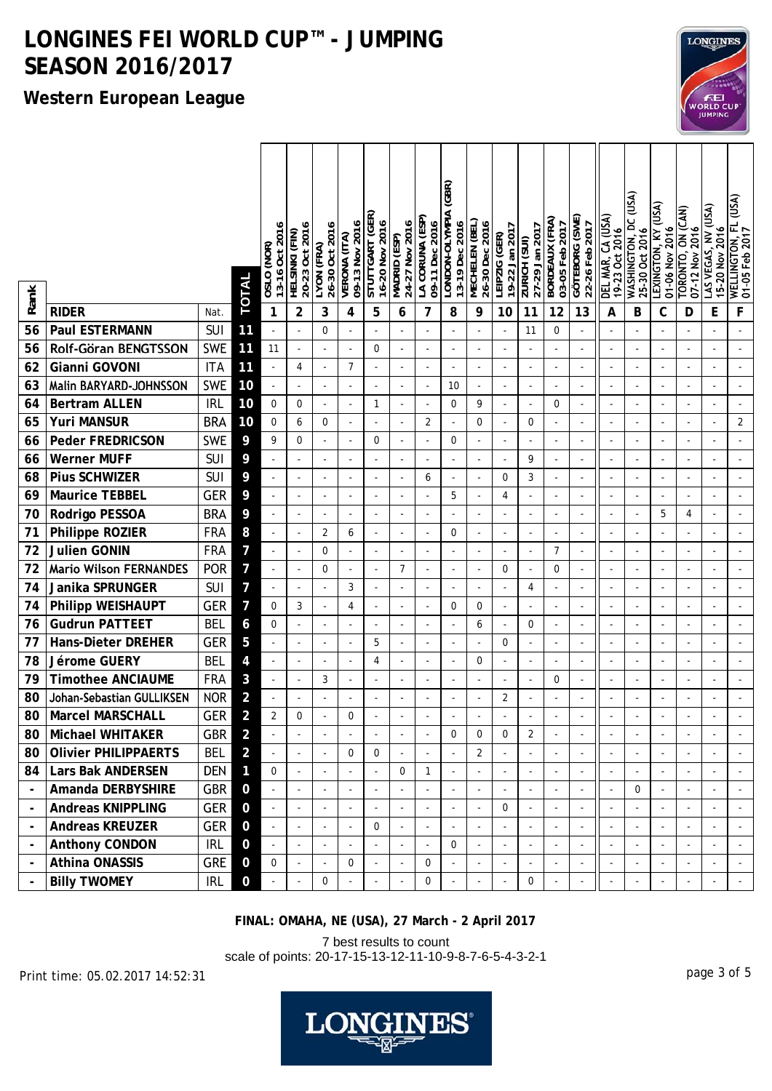### **Western European League**

| WASHINGTON, DC (USA)<br>LEXINGTON, KY (USA)<br>LONDON-OLYMPIA<br>STUTTGART (GER)<br>DEL MAR, CA (USA)<br>GOTEBORG (SWE)<br>LA CORUNA (ESP<br>BORDEAUX (FRA)<br>MECHELEN (BEL)<br>09-13 Nov 2016<br>24-27 Nov 2016<br>16-20 Nov 2016<br>09-11 Dec 2016<br>13-19 Dec 2016<br>26-30 Dec 2016<br>13-16 Oct 2016<br>03-05 Feb 2017<br>22-26 Feb 2017<br>20-23 Oct 2016<br>26-30 Oct 2016<br>19-22 Jan 2017<br>27-29 Jan 2017<br>01-06 Nov 2016<br>25-30 Oct 2016<br>19-23 Oct 2016<br>HELSINKI (FIN)<br>LEIPZIG (GER)<br>VERONA (ITA)<br>Madrid (ESP)<br>$\overline{Z}$ URICH $(\overline{S}$ UI)<br>LYON (FRA)<br>OSLO (NOR) | WELLINGTON, FL (USA)<br>01-05 Feb 2017<br>LAS VEGAS, NV (USA)<br>TORONTO, ON (CAN)<br>07-12 Nov 2016<br>15-20 Nov 2016 |
|--------------------------------------------------------------------------------------------------------------------------------------------------------------------------------------------------------------------------------------------------------------------------------------------------------------------------------------------------------------------------------------------------------------------------------------------------------------------------------------------------------------------------------------------------------------------------------------------------------------------------|------------------------------------------------------------------------------------------------------------------------|
| <b>TOTAL</b><br>Rank                                                                                                                                                                                                                                                                                                                                                                                                                                                                                                                                                                                                     |                                                                                                                        |
| 12<br><b>RIDER</b><br>2<br>3<br>5<br>7<br>8<br>13<br>С<br>1<br>4<br>9<br>10<br>11<br>А<br>B<br>Nat.<br>6                                                                                                                                                                                                                                                                                                                                                                                                                                                                                                                 | F<br>E<br>D                                                                                                            |
| 56<br><b>SUI</b><br>11<br>Paul ESTERMANN<br>0<br>$\Omega$<br>11<br>$\blacksquare$                                                                                                                                                                                                                                                                                                                                                                                                                                                                                                                                        |                                                                                                                        |
| Rolf-Göran BENGTSSON<br><b>SWE</b><br>56<br>11<br>0<br>11<br>$\overline{\phantom{a}}$<br>$\overline{\phantom{a}}$<br>$\overline{\phantom{a}}$<br>÷,<br>$\overline{\phantom{a}}$                                                                                                                                                                                                                                                                                                                                                                                                                                          | $\blacksquare$                                                                                                         |
| Gianni GOVONI<br>62<br><b>ITA</b><br>11<br>4<br>7<br>÷,<br>$\blacksquare$<br>$\blacksquare$<br>÷,                                                                                                                                                                                                                                                                                                                                                                                                                                                                                                                        |                                                                                                                        |
| <b>SWE</b><br>Malin BARYARD-JOHNSSON<br>10<br>63<br>10<br>$\omega$<br>$\overline{a}$<br>$\overline{a}$<br>ä,<br>$\overline{a}$<br>$\overline{a}$<br>$\overline{a}$<br>$\sim$<br>$\overline{a}$<br>$\overline{\phantom{a}}$<br>$\overline{\phantom{a}}$                                                                                                                                                                                                                                                                                                                                                                   | ÷,<br>÷.                                                                                                               |
| 10<br><b>Bertram ALLEN</b><br><b>IRL</b><br>64<br>0<br>0<br>$\mathbf{1}$<br>0<br>9<br>$\mathbf 0$<br>$\Box$<br>$\overline{\phantom{a}}$<br>÷,<br>÷,<br>$\overline{a}$                                                                                                                                                                                                                                                                                                                                                                                                                                                    | ÷,<br>$\overline{\phantom{a}}$                                                                                         |
| <b>BRA</b><br><b>Yuri MANSUR</b><br>10<br>65<br>$\mathbf 0$<br>0<br>6<br>$\mathbf 0$<br>2<br>0<br>$\Box$<br>÷,<br>$\overline{a}$                                                                                                                                                                                                                                                                                                                                                                                                                                                                                         | $\overline{2}$                                                                                                         |
| <b>SWE</b><br>9<br><b>Peder FREDRICSON</b><br>9<br>$\boldsymbol{0}$<br>66<br>0<br>0<br>$\overline{\phantom{a}}$<br>ł,                                                                                                                                                                                                                                                                                                                                                                                                                                                                                                    | $\overline{\phantom{a}}$                                                                                               |
| <b>SUI</b><br>9<br>9<br><b>Werner MUFF</b><br>66<br>÷,<br>÷,<br>÷,                                                                                                                                                                                                                                                                                                                                                                                                                                                                                                                                                       |                                                                                                                        |
| <b>Pius SCHWIZER</b><br><b>SUI</b><br>9<br>68<br>3<br>0<br>6<br>$\overline{\phantom{a}}$<br>$\overline{\phantom{a}}$<br>$\overline{\phantom{a}}$<br>$\overline{\phantom{a}}$                                                                                                                                                                                                                                                                                                                                                                                                                                             |                                                                                                                        |
| Maurice TEBBEL<br><b>GER</b><br>9<br>5<br>69<br>4<br>$\mathbf{r}$<br>$\sim$<br>÷,<br>÷,<br>$\overline{\phantom{a}}$<br>$\overline{\phantom{a}}$                                                                                                                                                                                                                                                                                                                                                                                                                                                                          | ÷,                                                                                                                     |
| 70<br>Rodrigo PESSOA<br><b>BRA</b><br>9<br>5<br>÷,<br>$\overline{\phantom{a}}$                                                                                                                                                                                                                                                                                                                                                                                                                                                                                                                                           | 4                                                                                                                      |
| 71<br><b>FRA</b><br>8<br>Philippe ROZIER<br>2<br>$\mathbf 0$<br>6<br>$\omega$<br>$\sim$<br>$\overline{a}$<br>$\overline{a}$<br>$\overline{\phantom{a}}$<br>$\sim$<br>÷,<br>$\overline{\phantom{a}}$<br>$\blacksquare$                                                                                                                                                                                                                                                                                                                                                                                                    | ÷.<br>$\blacksquare$                                                                                                   |
| <b>Julien GONIN</b><br>72<br>7<br><b>FRA</b><br>0<br>7<br>$\overline{\phantom{a}}$<br>$\blacksquare$<br>$\overline{\phantom{a}}$<br>ł,<br>÷,                                                                                                                                                                                                                                                                                                                                                                                                                                                                             |                                                                                                                        |
| 72<br><b>Mario Wilson FERNANDES</b><br><b>POR</b><br>$\overline{7}$<br>7<br>0<br>0<br>$\mathbf 0$<br>$\blacksquare$<br>÷,                                                                                                                                                                                                                                                                                                                                                                                                                                                                                                |                                                                                                                        |
| 74<br>Janika SPRUNGER<br><b>SUI</b><br>$\overline{7}$<br>3<br>4<br>$\overline{a}$<br>$\overline{\phantom{a}}$<br>÷.<br>$\overline{\phantom{a}}$<br>L.<br>÷.<br>$\overline{a}$                                                                                                                                                                                                                                                                                                                                                                                                                                            | $\overline{\phantom{a}}$                                                                                               |
| 74<br><b>GER</b><br>7<br>Philipp WEISHAUPT<br>3<br>$\mathbf 0$<br>$\overline{4}$<br>0<br>0<br>$\blacksquare$<br>÷,<br>÷,<br>÷,<br>÷,<br>$\blacksquare$<br>$\blacksquare$<br>$\overline{a}$<br>$\overline{\phantom{a}}$                                                                                                                                                                                                                                                                                                                                                                                                   | ÷,<br>$\overline{\phantom{a}}$                                                                                         |
| 76<br><b>Gudrun PATTEET</b><br><b>BEL</b><br>6<br>$\mathbf 0$<br>0<br>6<br>÷,<br>÷,<br>$\blacksquare$<br>$\overline{\phantom{a}}$<br>$\overline{\phantom{a}}$<br>$\overline{\phantom{a}}$<br>$\blacksquare$<br>$\overline{\phantom{a}}$<br>$\sim$                                                                                                                                                                                                                                                                                                                                                                        | ÷,                                                                                                                     |
| <b>GER</b><br>77<br><b>Hans-Dieter DREHER</b><br>5<br>5<br>0<br>÷,<br>$\overline{\phantom{a}}$                                                                                                                                                                                                                                                                                                                                                                                                                                                                                                                           | $\overline{\phantom{a}}$                                                                                               |
| 78<br>Jérome GUERY<br><b>BEL</b><br>4<br>4<br>0<br>$\omega$<br>÷,<br>÷,<br>$\overline{\phantom{a}}$<br>L,<br>ä,<br>L,                                                                                                                                                                                                                                                                                                                                                                                                                                                                                                    |                                                                                                                        |
| 79<br><b>Timothee ANCIAUME</b><br><b>FRA</b><br>3<br>3<br>$\mathbf 0$<br>÷,<br>÷,<br>÷,<br>$\overline{\phantom{a}}$<br>$\overline{\phantom{a}}$<br>$\blacksquare$<br>$\overline{\phantom{a}}$<br>$\blacksquare$<br>$\overline{\phantom{a}}$<br>$\overline{\phantom{a}}$                                                                                                                                                                                                                                                                                                                                                  | $\overline{\phantom{a}}$                                                                                               |
| Johan-Sebastian GULLIKSEN<br>80<br><b>NOR</b><br>$\overline{a}$<br>$\overline{2}$<br>÷,<br>$\overline{\phantom{a}}$<br>$\overline{\phantom{a}}$                                                                                                                                                                                                                                                                                                                                                                                                                                                                          | $\overline{\phantom{a}}$                                                                                               |
| $\overline{a}$<br><b>Marcel MARSCHALL</b><br><b>GER</b><br>80<br>2<br>0<br>0                                                                                                                                                                                                                                                                                                                                                                                                                                                                                                                                             |                                                                                                                        |
| GBR<br>Michael WHITAKER<br>$\overline{a}$<br>$\overline{2}$<br>80<br>$\boldsymbol{0}$<br>0<br>$\mathbf 0$                                                                                                                                                                                                                                                                                                                                                                                                                                                                                                                |                                                                                                                        |
| <b>Olivier PHILIPPAERTS</b><br>$\overline{2}$<br>BEL<br>80<br>$\overline{2}$<br>0<br>0                                                                                                                                                                                                                                                                                                                                                                                                                                                                                                                                   |                                                                                                                        |
| DEN<br>84   Lars Bak ANDERSEN<br>$\mathbf{1}$<br>$\mathbf 0$<br>0<br>$\mathbf{1}$<br>$\overline{a}$<br>÷,<br>$\overline{\phantom{a}}$<br>$\blacksquare$<br>÷,                                                                                                                                                                                                                                                                                                                                                                                                                                                            |                                                                                                                        |
| GBR<br>Amanda DERBYSHIRE<br>$\mathbf 0$<br>$\mathbf 0$<br>$\overline{a}$<br>$\blacksquare$<br>$\sim$<br>$\blacksquare$<br>$\overline{a}$<br>÷,<br>$\blacksquare$<br>$\overline{a}$                                                                                                                                                                                                                                                                                                                                                                                                                                       |                                                                                                                        |
| GER<br><b>Andreas KNIPPLING</b><br>0<br>$\mathbf 0$<br>$\blacksquare$<br>$\overline{\phantom{a}}$<br>$\blacksquare$<br>$\overline{\phantom{a}}$<br>$\overline{\phantom{a}}$<br>$\omega$<br>$\blacksquare$<br>$\overline{\phantom{a}}$<br>$\blacksquare$<br>$\overline{\phantom{a}}$                                                                                                                                                                                                                                                                                                                                      | ÷,<br>$\overline{\phantom{a}}$<br>$\overline{\phantom{a}}$                                                             |
| <b>Andreas KREUZER</b><br><b>GER</b><br>$\mathbf 0$<br>$\mathbf 0$<br>$\blacksquare$<br>$\blacksquare$<br>$\blacksquare$                                                                                                                                                                                                                                                                                                                                                                                                                                                                                                 |                                                                                                                        |
| Anthony CONDON<br><b>IRL</b><br>0<br>0<br>$\blacksquare$<br>$\blacksquare$                                                                                                                                                                                                                                                                                                                                                                                                                                                                                                                                               |                                                                                                                        |
| Athina ONASSIS<br><b>GRE</b><br>$\mathbf 0$<br>0<br>$\mathbf 0$<br>$\mathbf 0$<br>ä,<br>$\omega$<br>$\overline{\phantom{a}}$<br>$\blacksquare$<br>L.<br>$\omega$<br>$\blacksquare$                                                                                                                                                                                                                                                                                                                                                                                                                                       | $\overline{a}$<br>$\omega$<br>÷,                                                                                       |
| <b>Billy TWOMEY</b><br><b>IRL</b><br>$\mathbf 0$<br>0<br>0<br>0<br>$\overline{\phantom{a}}$<br>$\blacksquare$<br>÷,<br>$\overline{\phantom{a}}$                                                                                                                                                                                                                                                                                                                                                                                                                                                                          | $\blacksquare$<br>÷,                                                                                                   |

**FINAL: OMAHA, NE (USA), 27 March - 2 April 2017**

7 best results to count scale of points: 20-17-15-13-12-11-10-9-8-7-6-5-4-3-2-1

page 3 of 5 Print time: 05.02.2017 14:52:31



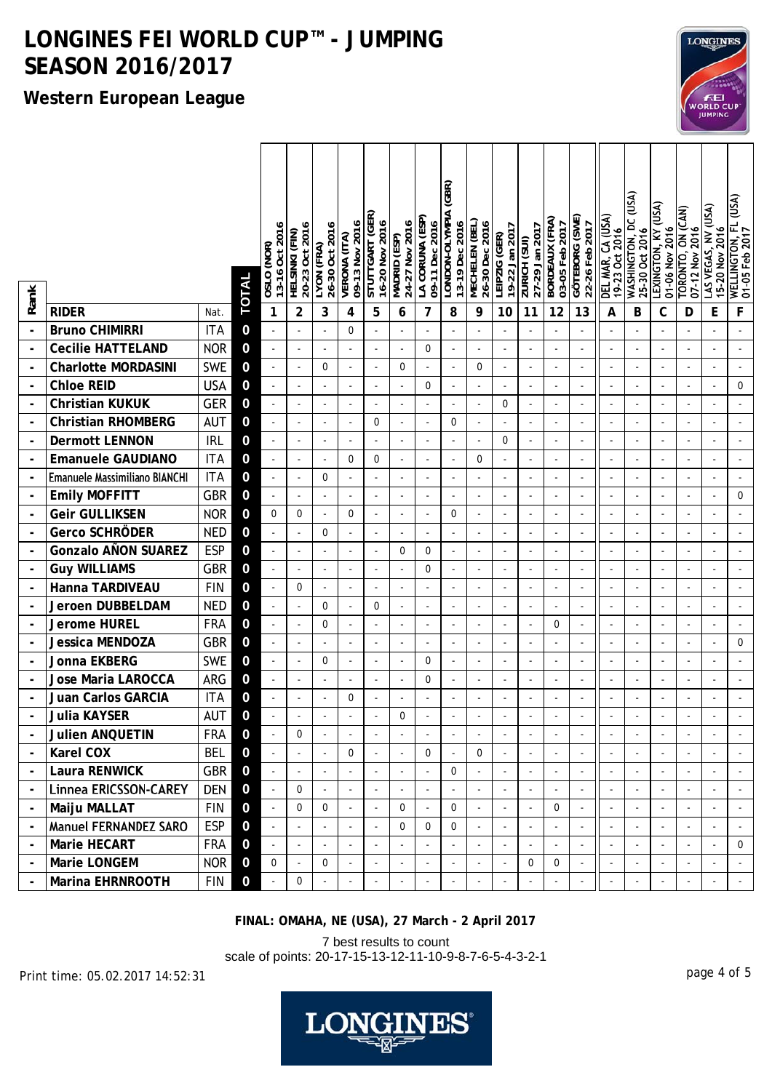### **Western European League**

|                |                               |            | <b>TOTAL</b>   | 13-16 Oct 2016<br>OSLO (NOR) | 20-23 Oct 2016<br>HELSINKI (FIN) | 26-30 Oct 2016<br>LYON (FRA) | 09-13 Nov 2016<br>VERONA (ITA) | STUTTGART (GER<br>16-20 Nov 2016 | 24-27 Nov 2016<br>Madrid (ESP) | LA CORUNA (ESP<br>09-11 Dec 2016 | (GBR)<br><b>LONDON-OLYMPIA</b><br>13-19 Dec 2016 | MECHELEN (BEL)<br>26-30 Dec 2016 | 19-22 Jan 2017<br>LEIPZIG (GER) | 27-29 Jan 2017<br>ZURICH (SUI) | <b>BORDEAUX (FRA)</b><br>03-05 Feb 2017 | GOTEBORG (SWE)<br>22-26 Feb 2017 | DEL MAR, CA (USA)<br>19-23 Oct 2016 | <b>WASHINGTON, DC (USA)</b><br>25-30 Oct 2016 | LEXINGTON, KY (USA)<br>01-06 Nov 2016 | TORONTO, ON (CAN)<br>07-12 Nov 2016 | LAS VEGAS, NV (USA)<br>15-20 Nov 2016 | Űξ<br><b>WELLINGTON, FL<br/>01-05 Feb 2017</b> |
|----------------|-------------------------------|------------|----------------|------------------------------|----------------------------------|------------------------------|--------------------------------|----------------------------------|--------------------------------|----------------------------------|--------------------------------------------------|----------------------------------|---------------------------------|--------------------------------|-----------------------------------------|----------------------------------|-------------------------------------|-----------------------------------------------|---------------------------------------|-------------------------------------|---------------------------------------|------------------------------------------------|
| Rank           | <b>RIDER</b>                  | Nat.       |                | 1                            | $\overline{2}$                   | 3                            | 4                              | 5                                | 6                              | 7                                | 8                                                | 9                                | 10                              | 11                             | 12                                      | 13                               | A                                   | В                                             | C                                     | D                                   | Е                                     | F                                              |
|                | <b>Bruno CHIMIRRI</b>         | <b>ITA</b> | 0              |                              |                                  |                              | $\Omega$                       | $\overline{\phantom{a}}$         |                                |                                  | ÷,                                               |                                  |                                 |                                |                                         |                                  |                                     |                                               |                                       |                                     |                                       |                                                |
|                | <b>Cecilie HATTELAND</b>      | <b>NOR</b> | $\Omega$       |                              | $\blacksquare$                   | $\overline{a}$               |                                | $\overline{\phantom{a}}$         |                                | 0                                | $\overline{\phantom{a}}$                         | $\overline{\phantom{a}}$         |                                 |                                |                                         |                                  | $\overline{\phantom{m}}$            |                                               |                                       | $\overline{a}$                      |                                       |                                                |
|                | <b>Charlotte MORDASINI</b>    | <b>SWE</b> | 0              |                              |                                  | 0                            |                                | ÷,                               | 0                              |                                  | ÷,                                               | $\mathbf 0$                      |                                 |                                |                                         |                                  |                                     |                                               |                                       | ÷,                                  |                                       |                                                |
|                | <b>Chloe REID</b>             | <b>USA</b> | $\mathbf 0$    |                              |                                  | $\overline{a}$               | $\overline{a}$                 | $\overline{\phantom{a}}$         |                                | $\mathbf 0$                      | $\overline{a}$                                   |                                  |                                 |                                |                                         | $\blacksquare$                   |                                     | $\sim$                                        |                                       | $\overline{\phantom{a}}$            |                                       | $\mathbf 0$                                    |
|                | <b>Christian KUKUK</b>        | <b>GER</b> | $\mathbf 0$    |                              | $\blacksquare$                   | ÷,                           |                                | $\overline{\phantom{a}}$         |                                |                                  | ÷,                                               | ÷,                               | 0                               |                                |                                         |                                  |                                     |                                               |                                       | $\blacksquare$                      |                                       |                                                |
|                | <b>Christian RHOMBERG</b>     | <b>AUT</b> | $\mathbf 0$    |                              |                                  | $\overline{\phantom{a}}$     | $\overline{\phantom{a}}$       | 0                                |                                | ÷,                               | 0                                                |                                  |                                 |                                |                                         |                                  |                                     |                                               |                                       |                                     |                                       |                                                |
|                | <b>Dermott LENNON</b>         | <b>IRL</b> | 0              |                              | $\blacksquare$                   |                              |                                | $\blacksquare$                   |                                |                                  | ÷,                                               | ÷,                               | 0                               | $\blacksquare$                 |                                         |                                  |                                     |                                               |                                       | ÷,                                  |                                       |                                                |
|                | <b>Emanuele GAUDIANO</b>      | <b>ITA</b> | 0              |                              | $\overline{\phantom{a}}$         | $\overline{\phantom{a}}$     | $\Omega$                       | 0                                |                                | ä,                               | $\overline{\phantom{a}}$                         | $\mathbf 0$                      |                                 | $\blacksquare$                 |                                         |                                  | $\overline{\phantom{a}}$            |                                               |                                       | $\overline{\phantom{a}}$            |                                       |                                                |
|                | Emanuele Massimiliano BIANCHI | <b>ITA</b> | $\mathbf 0$    |                              | $\overline{\phantom{a}}$         | 0                            | $\overline{\phantom{a}}$       | $\blacksquare$                   |                                |                                  | ÷,                                               | $\overline{\phantom{a}}$         |                                 |                                |                                         |                                  |                                     |                                               |                                       | $\blacksquare$                      |                                       |                                                |
|                | <b>Emily MOFFITT</b>          | <b>GBR</b> | $\Omega$       |                              |                                  |                              |                                | ÷,                               |                                |                                  | ÷,                                               |                                  |                                 |                                |                                         |                                  |                                     |                                               |                                       | ÷,                                  |                                       | $\mathbf 0$                                    |
|                | <b>Geir GULLIKSEN</b>         | <b>NOR</b> | 0              | 0                            | 0                                | ÷,                           | $\mathbf 0$                    | $\overline{\phantom{a}}$         |                                |                                  | 0                                                |                                  |                                 |                                |                                         |                                  |                                     |                                               |                                       | ÷,                                  |                                       |                                                |
|                | <b>Gerco SCHRÖDER</b>         | <b>NED</b> | $\mathbf 0$    |                              | $\overline{\phantom{a}}$         | 0                            | $\overline{\phantom{a}}$       | $\overline{\phantom{a}}$         |                                |                                  | $\overline{\phantom{a}}$                         | $\overline{a}$                   |                                 | $\blacksquare$                 |                                         | $\blacksquare$                   | $\overline{\phantom{m}}$            |                                               |                                       | ÷,                                  |                                       |                                                |
|                | <b>Gonzalo AÑON SUAREZ</b>    | <b>ESP</b> | $\Omega$       |                              | $\overline{\phantom{a}}$         | $\overline{\phantom{a}}$     |                                | $\overline{\phantom{a}}$         | 0                              | 0                                | ÷,                                               |                                  |                                 | $\blacksquare$                 |                                         | $\blacksquare$                   | $\blacksquare$                      |                                               |                                       | $\overline{a}$                      |                                       |                                                |
|                | <b>Guy WILLIAMS</b>           | <b>GBR</b> | $\mathbf 0$    |                              |                                  |                              |                                |                                  |                                | 0                                | $\overline{\phantom{a}}$                         |                                  |                                 |                                |                                         |                                  |                                     |                                               |                                       | ÷,                                  |                                       |                                                |
|                | Hanna TARDIVEAU               | <b>FIN</b> | $\mathbf 0$    |                              | 0                                | $\sim$                       |                                | $\overline{\phantom{a}}$         |                                |                                  | ÷,                                               |                                  |                                 | $\blacksquare$                 |                                         |                                  |                                     |                                               |                                       | ÷,                                  |                                       |                                                |
|                | Jeroen DUBBELDAM              | NED        | 0              |                              | $\blacksquare$                   | 0                            |                                | 0                                |                                |                                  | ÷,                                               |                                  | $\overline{\phantom{a}}$        |                                |                                         | $\blacksquare$                   |                                     |                                               |                                       | $\overline{a}$                      |                                       |                                                |
|                | <b>Jerome HUREL</b>           | <b>FRA</b> | $\mathbf 0$    |                              |                                  | 0                            |                                |                                  |                                |                                  | ÷,                                               |                                  |                                 |                                | 0                                       |                                  |                                     |                                               |                                       |                                     |                                       |                                                |
|                | Jessica MENDOZA               | <b>GBR</b> | $\mathbf 0$    |                              |                                  |                              |                                | $\blacksquare$                   |                                |                                  | $\overline{\phantom{a}}$                         |                                  |                                 |                                |                                         |                                  |                                     |                                               |                                       | $\overline{a}$                      |                                       | 0                                              |
|                | Jonna EKBERG                  | <b>SWE</b> | 0              |                              | $\overline{\phantom{a}}$         | 0                            | $\overline{\phantom{a}}$       | $\overline{\phantom{a}}$         |                                | $\mathbf 0$                      | $\blacksquare$                                   | $\overline{\phantom{a}}$         |                                 | $\blacksquare$                 |                                         |                                  | ÷,                                  |                                               |                                       | $\blacksquare$                      |                                       |                                                |
|                | Jose Maria LAROCCA            | ARG        | $\mathbf 0$    |                              | $\blacksquare$                   | $\blacksquare$               | $\overline{\phantom{a}}$       | $\overline{\phantom{a}}$         |                                | $\mathbf 0$                      | $\blacksquare$                                   | $\blacksquare$                   |                                 | $\blacksquare$                 |                                         | $\blacksquare$                   | $\blacksquare$                      |                                               |                                       | $\overline{\phantom{a}}$            |                                       |                                                |
|                | Juan Carlos GARCIA            | <b>ITA</b> | $\Omega$       |                              |                                  |                              | 0                              |                                  |                                |                                  |                                                  |                                  |                                 |                                |                                         |                                  |                                     |                                               |                                       |                                     |                                       |                                                |
|                | Julia KAYSER                  | AUT        | 0              |                              |                                  |                              |                                |                                  | 0                              |                                  |                                                  |                                  |                                 |                                |                                         |                                  |                                     |                                               |                                       |                                     |                                       |                                                |
|                | <b>Julien ANQUETIN</b>        | FRA        | $\mathbf 0$    |                              | 0                                |                              |                                | $\blacksquare$                   |                                |                                  | $\overline{\phantom{a}}$                         | $\blacksquare$                   |                                 | $\omega$                       | ÷,                                      |                                  |                                     |                                               |                                       | $\omega$                            |                                       |                                                |
|                | Karel COX                     | <b>BEL</b> | $\overline{0}$ |                              |                                  | $\overline{\phantom{a}}$     | $\Omega$                       | $\blacksquare$                   |                                | $\mathbf 0$                      | $\blacksquare$                                   | $\Omega$                         |                                 |                                |                                         |                                  |                                     |                                               |                                       |                                     |                                       |                                                |
|                | Laura RENWICK                 | GBR        | $\mathbf 0$    |                              | $\overline{a}$                   | $\overline{\phantom{a}}$     | $\overline{\phantom{a}}$       | $\blacksquare$                   |                                | L.                               | 0                                                |                                  | ÷,                              | ÷,                             |                                         |                                  |                                     |                                               |                                       | $\overline{\phantom{a}}$            |                                       | $\blacksquare$                                 |
|                | <b>Linnea ERICSSON-CAREY</b>  | <b>DEN</b> | $\mathbf 0$    |                              | $\mathbf 0$                      |                              |                                | $\blacksquare$                   |                                |                                  |                                                  |                                  |                                 | $\omega$                       |                                         |                                  |                                     |                                               |                                       | $\omega$                            |                                       |                                                |
| $\blacksquare$ | Maiju MALLAT                  | <b>FIN</b> | $\mathbf 0$    |                              | 0                                | 0                            | $\overline{\phantom{a}}$       | $\overline{\phantom{a}}$         | 0                              | $\blacksquare$                   | 0                                                |                                  | $\overline{\phantom{a}}$        | $\blacksquare$                 | $\mathbf 0$                             | $\blacksquare$                   |                                     |                                               |                                       | $\blacksquare$                      |                                       | $\blacksquare$                                 |
|                | <b>Manuel FERNANDEZ SARO</b>  | <b>ESP</b> | $\mathbf 0$    |                              |                                  |                              |                                | $\Box$                           | 0                              | $\mathbf 0$                      | $\overline{0}$                                   |                                  |                                 |                                |                                         |                                  |                                     |                                               |                                       |                                     |                                       |                                                |
|                | Marie HECART                  | <b>FRA</b> | $\overline{0}$ |                              |                                  |                              |                                | $\blacksquare$                   |                                |                                  |                                                  | $\overline{\phantom{a}}$         |                                 | $\blacksquare$                 |                                         |                                  |                                     |                                               |                                       | $\blacksquare$                      |                                       | $\mathbf 0$                                    |
| $\blacksquare$ | Marie LONGEM                  | <b>NOR</b> | $\mathbf 0$    | $\mathbf 0$                  | $\blacksquare$                   | 0                            | $\blacksquare$                 | $\omega$                         |                                | $\blacksquare$                   | $\omega$                                         | $\overline{\phantom{a}}$         | $\sim$                          | $\mathbf 0$                    | $\mathbf 0$                             |                                  | $\blacksquare$                      | $\blacksquare$                                | $\overline{\phantom{a}}$              | $\blacksquare$                      |                                       | $\blacksquare$                                 |
|                | Marina EHRNROOTH              | <b>FIN</b> | $\mathbf 0$    |                              | $\mathbf 0$                      |                              | $\blacksquare$                 | $\blacksquare$                   |                                |                                  | $\blacksquare$                                   |                                  |                                 |                                |                                         |                                  | $\blacksquare$                      |                                               |                                       | $\blacksquare$                      |                                       | $\omega$                                       |

**FINAL: OMAHA, NE (USA), 27 March - 2 April 2017**

7 best results to count

scale of points: 20-17-15-13-12-11-10-9-8-7-6-5-4-3-2-1

page 4 of 5 Print time: 05.02.2017 14:52:31